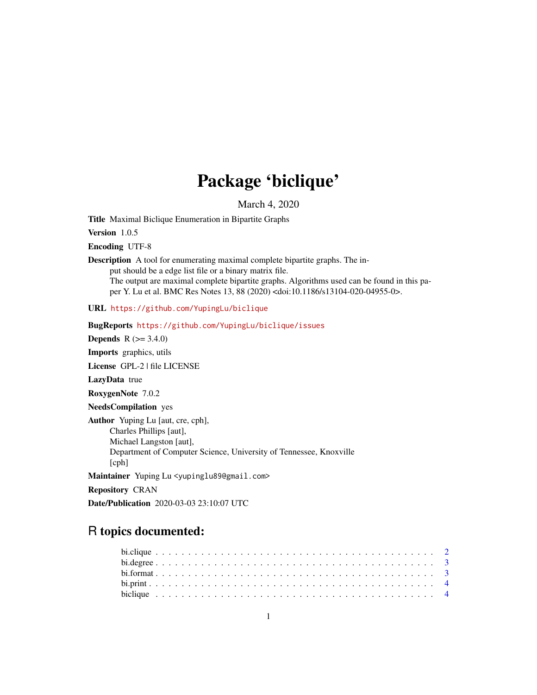## Package 'biclique'

March 4, 2020

Title Maximal Biclique Enumeration in Bipartite Graphs

Version 1.0.5

Encoding UTF-8

Description A tool for enumerating maximal complete bipartite graphs. The input should be a edge list file or a binary matrix file. The output are maximal complete bipartite graphs. Algorithms used can be found in this paper Y. Lu et al. BMC Res Notes 13, 88 (2020) <doi:10.1186/s13104-020-04955-0>.

URL <https://github.com/YupingLu/biclique>

BugReports <https://github.com/YupingLu/biclique/issues>

**Depends** R  $(>= 3.4.0)$ 

Imports graphics, utils

License GPL-2 | file LICENSE

LazyData true

RoxygenNote 7.0.2

NeedsCompilation yes

Author Yuping Lu [aut, cre, cph], Charles Phillips [aut], Michael Langston [aut], Department of Computer Science, University of Tennessee, Knoxville [cph]

Maintainer Yuping Lu <yupinglu89@gmail.com>

Repository CRAN

Date/Publication 2020-03-03 23:10:07 UTC

### R topics documented: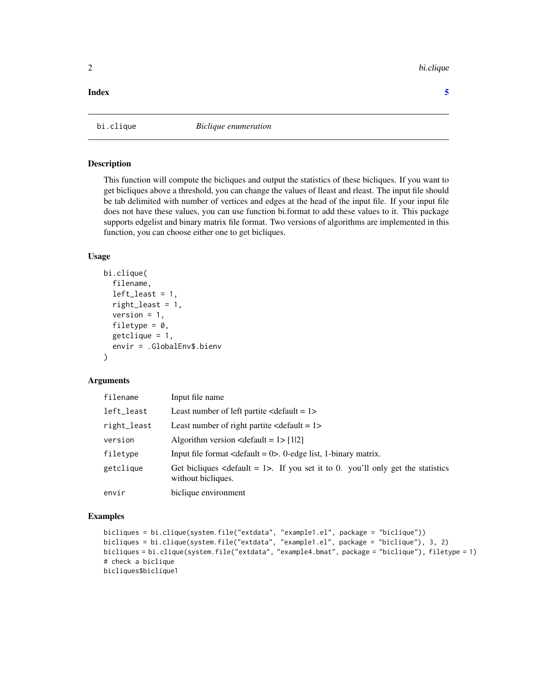#### <span id="page-1-0"></span>**Index** [5](#page-4-0). The second state of the second state of the second state of the second state of the second state of the second state of the second state of the second state of the second state of the second state of the second

bi.clique *Biclique enumeration*

#### Description

This function will compute the bicliques and output the statistics of these bicliques. If you want to get bicliques above a threshold, you can change the values of lleast and rleast. The input file should be tab delimited with number of vertices and edges at the head of the input file. If your input file does not have these values, you can use function bi.format to add these values to it. This package supports edgelist and binary matrix file format. Two versions of algorithms are implemented in this function, you can choose either one to get bicliques.

#### Usage

```
bi.clique(
  filename,
  left\_least = 1,right\_least = 1,version = 1,
  filetype = 0,
  getclique = 1,envir = .GlobalEnv$.bienv
)
```
#### Arguments

| filename    | Input file name                                                                                             |
|-------------|-------------------------------------------------------------------------------------------------------------|
| left_least  | Least number of left partite $\alpha$ default = 1>                                                          |
| right_least | Least number of right partite $\leq$ default = 1>                                                           |
| version     | Algorithm version $\alpha$ default = 1 > [1 2]                                                              |
| filetype    | Input file format $\leq$ default = 0 $>$ . 0-edge list, 1-binary matrix.                                    |
| getclique   | Get bicliques $\leq$ default = 1>. If you set it to 0. you'll only get the statistics<br>without bicliques. |
| envir       | biclique environment                                                                                        |

#### Examples

```
bicliques = bi.clique(system.file("extdata", "example1.el", package = "biclique"))
bicliques = bi.clique(system.file("extdata", "example1.el", package = "biclique"), 3, 2)
bicliques = bi.clique(system.file("extdata", "example4.bmat", package = "biclique"), filetype = 1)
# check a biclique
bicliques$biclique1
```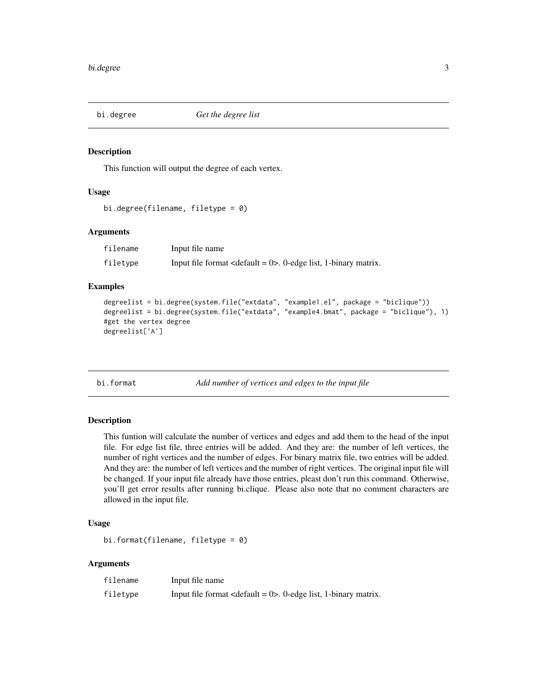<span id="page-2-0"></span>

#### Description

This function will output the degree of each vertex.

#### Usage

```
bi.degree(filename, filetype = 0)
```
#### Arguments

| filename | Input file name                                                          |
|----------|--------------------------------------------------------------------------|
| filetype | Input file format $\leq$ default = 0 $>$ . 0-edge list, 1-binary matrix. |

#### Examples

```
degreelist = bi.degree(system.file("extdata", "example1.el", package = "biclique"))
degreelist = bi.degree(system.file("extdata", "example4.bmat", package = "biclique"), 1)
#get the vertex degree
degreelist['A']
```

| bi.format |  |
|-----------|--|
|           |  |

Add number of vertices and edges to the input file

#### Description

This funtion will calculate the number of vertices and edges and add them to the head of the input file. For edge list file, three entries will be added. And they are: the number of left vertices, the number of right vertices and the number of edges. For binary matrix file, two entries will be added. And they are: the number of left vertices and the number of right vertices. The original input file will be changed. If your input file already have those entries, pleast don't run this command. Otherwise, you'll get error results after running bi.clique. Please also note that no comment characters are allowed in the input file.

#### Usage

```
bi.format(filename, filetype = 0)
```
#### Arguments

| filename | Input file name                                                          |
|----------|--------------------------------------------------------------------------|
| filetype | Input file format $\leq$ default = 0 $>$ . 0-edge list, 1-binary matrix. |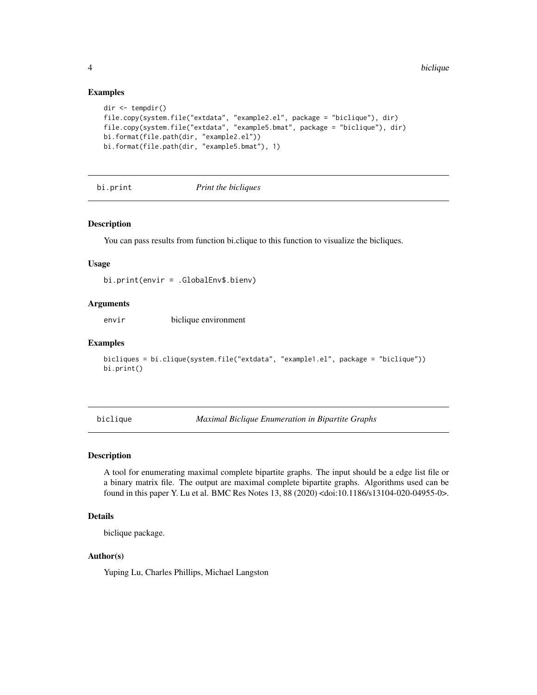#### Examples

```
dir <- tempdir()
file.copy(system.file("extdata", "example2.el", package = "biclique"), dir)
file.copy(system.file("extdata", "example5.bmat", package = "biclique"), dir)
bi.format(file.path(dir, "example2.el"))
bi.format(file.path(dir, "example5.bmat"), 1)
```
bi.print *Print the bicliques*

#### Description

You can pass results from function bi.clique to this function to visualize the bicliques.

#### Usage

bi.print(envir = .GlobalEnv\$.bienv)

#### Arguments

envir biclique environment

#### Examples

```
bicliques = bi.clique(system.file("extdata", "example1.el", package = "biclique"))
bi.print()
```
biclique *Maximal Biclique Enumeration in Bipartite Graphs*

#### Description

A tool for enumerating maximal complete bipartite graphs. The input should be a edge list file or a binary matrix file. The output are maximal complete bipartite graphs. Algorithms used can be found in this paper Y. Lu et al. BMC Res Notes 13, 88 (2020) <doi:10.1186/s13104-020-04955-0>.

#### Details

biclique package.

#### Author(s)

Yuping Lu, Charles Phillips, Michael Langston

<span id="page-3-0"></span>